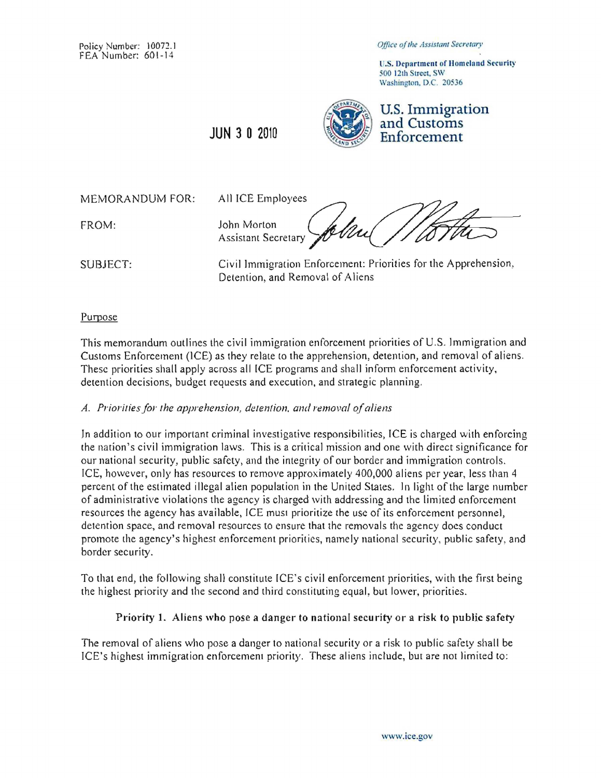U.S. Department of Homeland Security 500 12th Street. SW Washington. D.C. 20536



U.S. Immigration **JUN 3 0 2010 Enforcement** 

MEMORANDUM FOR: AII ICE Employees

FROM: John Morton Assistant Secretary

SUBJECT: Civil Immigration Enforcement: Priorities for the Apprehension, Detention, and Removal of Aliens

#### Purpose

This memorandum outlines the civil immigration enforcement priorities of U.S. Immigration and Customs Enforcement (ICE) as they relate (0 the apprehension, detention, and removal of aliens. These priorities shall apply across all ICE programs and shall inform enforcement activity, detention decisions, budget requests and execution. and strategic planning.

### *A. Priorities for the apprehension, detention. and removal ofaliens*

In addition to our important criminal investigative responsibilities, ICE is charged with enforcing the nation's civil immigration laws. This is a critical mission and one with direct significance for our national security, public safety, and the integrity of our border and immigration controls. ICE, however, only has resources to remove approximately 400,000 aliens per year, less than 4 percent of the estimated illegal alien population in the United States. In light of the large number of administrative violations the agency is charged with addressing and the limited enforcement resources the agency has available, ICE must prioritize the usc of its enforcement personnel, detention space, and removal resources to ensure that the removals the agency does conduct promote the agency's highest enforcement priorities, namely national security, public safety, and border security.

To that end, the following shall constitute ICE's civil enforcement priorities, with the first being the highest priority and the second and third constituting equal, but lower, priorities.

### Priority 1. Aliens who pose a danger to national security or a risk to public safety

The removal of aliens who pose a danger to national security or a risk to public safety shall be ICE's highest immigration enforcement priority. These aliens include, but are not limited to: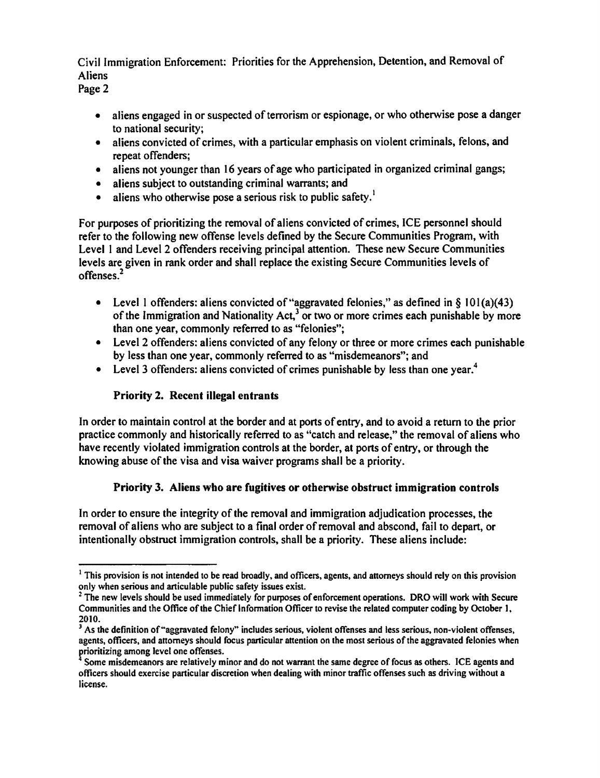Civil Immigration Enforcement: Priorities for the Apprehension, Detention, and Removal of Aliens

Page 2

- aliens engaged in or suspected of terrorism or espionage, or who otherwise pose a danger to national security;
- aliens convicted of crimes, with a particular emphasis on violent criminals, felons, and repeat offenders;
- aliens not younger than 16 years of age who participated in organized criminal gangs;
- aliens subject to outstanding criminal warrants; and
- aliens who otherwise pose a serious risk to public safety.<sup>1</sup>

For purposes of prioritizing the removal of aliens convicted of crimes. ICE personnel should refer to the following new offense levels defined by the Secure Communities Program, with Level I and Level 2 offenders receiving principal attention. These new Secure Communities levels are given in rank order and shall replace the existing Secure Communities levels of offenses.<sup>2</sup>

- Level 1 offenders: aliens convicted of "aggravated felonies," as defined in  $\S$  101(a)(43) of the Immigration and Nationality Act, $3\,\text{or}$  two or more crimes each punishable by more than one year. commonly referred to as "felonies";
- Level 2 offenders: aliens convicted of any felony or three or more crimes each punishable by less than one year, commonly referred to as "misdemeanors"; and
- Level 3 offenders: aliens convicted of crimes punishable by less than one year.<sup>4</sup>

# Priority 2. Recent illegal entrants

In order to maintain control at the border and at ports ofentry, and to avoid a return to the prior practice commonly and historically referred to as "catch and release," the removal of aliens who have recently violated immigration controls at the border, at ports of entry, or through the knowing abuse of the visa and visa waiver programs shall be a priority.

## Priority 3. Aliens who are fugitives or otherwise obstruct immigration controls

In order to ensure the integrity of the removal and immigration adjudication processes, the removal of aliens who are subject to a final order of removal and abscond, fail to depart, or intentionally obstruct immigration controls, shall be a priority. These aliens include:

 $<sup>1</sup>$  This provision is not intended to be read broadly, and officers, agents, and attorneys should rely on this provision</sup> only when serious and articulable public safety issues exist.

 $2$  The new levels should be used immediately for purposes of enforcement operations. DRO will work with Secure Communities and the Office of the Chief Information Officer to revise the related computer coding by October 1, 2010.

 $3$  As the definition of "aggravated felony" includes serious, violent offenses and less serious, non-violent offenses, agents, officers, and attorneys should focus particular attention on the most serious of the aggravated felonies when prioritizing among level one offenses.

<sup>&</sup>lt;sup>4</sup> Some misdemeanors are relatively minor and do not warrant the same degree of focus as others. ICE agents and officers should exercise particular discretion when dealing with minor traffic offenses such as driving without a license.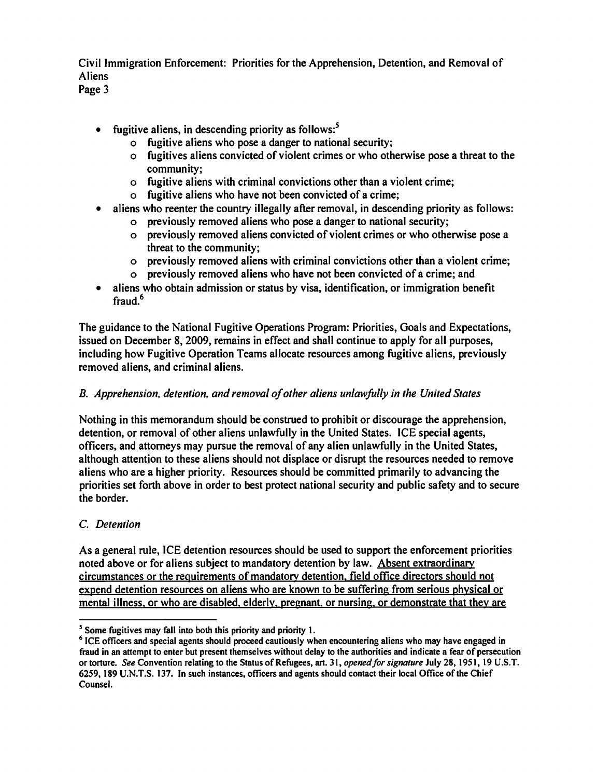Civil Immigration Enforcement: Priorities for the Apprehension, Detention, and Removal of Aliens Page 3

- fugitive aliens, in descending priority as follows: $<sup>5</sup>$ </sup>
	- $\circ$  fugitive aliens who pose a danger to national security;
	- $\circ$  fugitives aliens convicted of violent crimes or who otherwise pose a threat to the community;
	- $\circ$  fugitive aliens with criminal convictions other than a violent crime;
	- $\circ$  fugitive aliens who have not been convicted of a crime:
- aliens who reenter the country illegally after removal, in descending priority as follows:
	- o previously removed aliens who pose a danger to national security;
		- $\circ$  previously removed aliens convicted of violent crimes or who otherwise pose a threat to the community;
		- o previously removed aliens with criminal convictions other than a violent crime;
		- o previously removed aliens who have not been convicted of a crime; and
- aliens who obtain admission or status by visa, identification, or immigration benefit fraud.<sup>6</sup>

The guidance to the National Fugitive Operations Program: Priorities, Goals and Expectations, issued on December 8, 2009, remains in effect and shall continue to apply for all purposes, including how Fugitive Operation Teams allocate resources among fugitive aliens, previously removed aliens, and criminal aliens.

# B. *Apprehension. detention. and removal ofother aliens unlawfully in the United States*

Nothing in this memorandum should be construed to prohibit or discourage the apprehension, detention, or removal of other aliens unlawfully in the United States. ICE special agents, officers, and attorneys may pursue the removal of any alien unlawfully in the United States, although attention to these aliens should not displace or disrupt the resources needed to remove aliens who are a higher priority. Resources should be committed primarily to advancing the priorities set forth above in order to best protect national security and public safety and to secure the border.

## C. *Detention*

As a general rule, ICE detention resources should be used to support the enforcement priorities noted above or for aliens subject to mandatory detention by law. Absent extraordinary circumstances or the requirements of mandatory detention. field office directors should not expend detention resources on aliens who are known to be suffering from serious physical or mental illness. or who are disabled. elderly. pregnant. or nursing. or demonstrate that they are

<sup>&</sup>lt;sup>5</sup> Some fugitives may fall into both this priority and priority 1.

<sup>&</sup>lt;sup>6</sup> ICE officers and special agents should proceed cautiously when encountering aliens who may have engaged in fraud in an attempt to enter but present themselves without delay to the authorities and indicate a fear of persecution or torture. *See* Convention relating to the Status of Refugees, art. 31, *opened/or signalure* July 28, 1951, 19 V.S.T. 6259, 189 V.N.T.S. 137. In such instances, officers and agents should contact their local Office of the Chief Counsel.